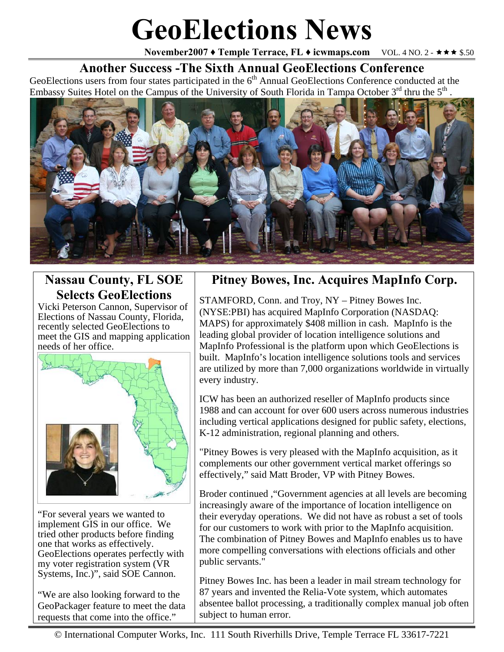# **GeoElections News**

**November2007 ♦ Temple Terrace, FL ♦ icwmaps.com VOL. 4 NO. 2 - ★★★ \$.50** 

### **Another Success -The Sixth Annual GeoElections Conference**

GeoElections users from four states participated in the  $6<sup>th</sup>$  Annual GeoElections Conference conducted at the Embassy Suites Hotel on the Campus of the University of South Florida in Tampa October 3<sup>rd</sup> thru the 5<sup>th</sup>.



# **Nassau County, FL SOE Selects GeoElections**

Vicki Peterson Cannon, Supervisor of Elections of Nassau County, Florida, recently selected GeoElections to meet the GIS and mapping application needs of her office.



"For several years we wanted to implement GIS in our office. We tried other products before finding one that works as effectively. GeoElections operates perfectly with my voter registration system (VR Systems, Inc.)", said SOE Cannon.

"We are also looking forward to the GeoPackager feature to meet the data requests that come into the office."

## **Pitney Bowes, Inc. Acquires MapInfo Corp.**

STAMFORD, Conn. and Troy, NY – Pitney Bowes Inc. (NYSE:PBI) has acquired MapInfo Corporation (NASDAQ: MAPS) for approximately \$408 million in cash. MapInfo is the leading global provider of location intelligence solutions and MapInfo Professional is the platform upon which GeoElections is built. MapInfo's location intelligence solutions tools and services are utilized by more than 7,000 organizations worldwide in virtually every industry.

ICW has been an authorized reseller of MapInfo products since 1988 and can account for over 600 users across numerous industries including vertical applications designed for public safety, elections, K-12 administration, regional planning and others.

"Pitney Bowes is very pleased with the MapInfo acquisition, as it complements our other government vertical market offerings so effectively," said Matt Broder, VP with Pitney Bowes.

Broder continued ,"Government agencies at all levels are becoming increasingly aware of the importance of location intelligence on their everyday operations. We did not have as robust a set of tools for our customers to work with prior to the MapInfo acquisition. The combination of Pitney Bowes and MapInfo enables us to have more compelling conversations with elections officials and other public servants."

Pitney Bowes Inc. has been a leader in mail stream technology for 87 years and invented the Relia-Vote system, which automates absentee ballot processing, a traditionally complex manual job often subject to human error.